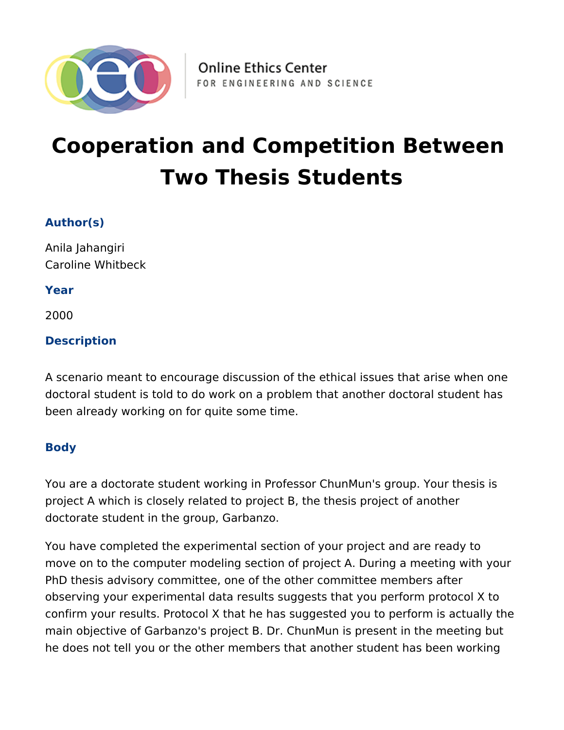

# **Cooperation and Competition Between Two Thesis Students**

## **Author(s)**

Anila Jahangiri Caroline Whitbeck

**Year**

2000

# **Description**

A scenario meant to encourage discussion of the ethical issues that arise when one doctoral student is told to do work on a problem that another doctoral student has been already working on for quite some time.

## **Body**

You are a doctorate student working in Professor ChunMun's group. Your thesis is project A which is closely related to project B, the thesis project of another doctorate student in the group, Garbanzo.

You have completed the experimental section of your project and are ready to move on to the computer modeling section of project A. During a meeting with your PhD thesis advisory committee, one of the other committee members after observing your experimental data results suggests that you perform protocol X to confirm your results. Protocol X that he has suggested you to perform is actually the main objective of Garbanzo's project B. Dr. ChunMun is present in the meeting but he does not tell you or the other members that another student has been working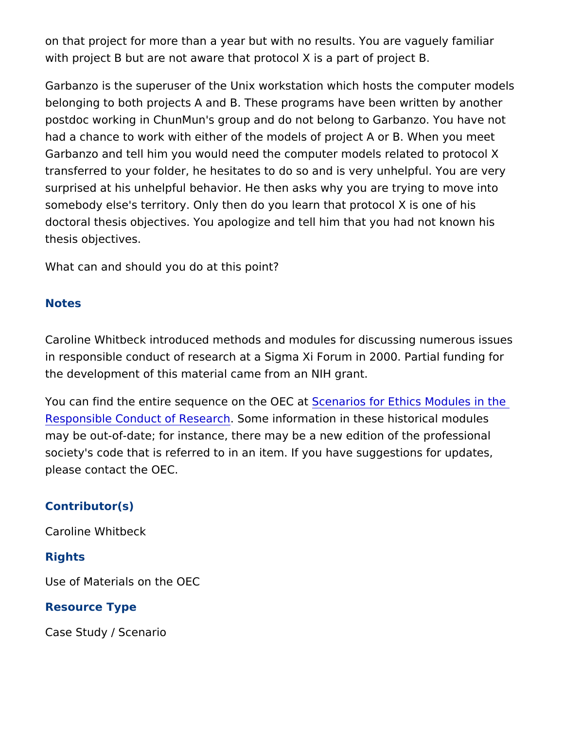on that project for more than a year but with no results. You are with project B but are not aware that protocol X is a part of proje

Garbanzo is the superuser of the Unix workstation which hosts th belonging to both projects A and B. These programs have been wr postdoc working in ChunMun's group and do not belong to Garban had a chance to work with either of the models of project A or B. Garbanzo and tell him you would need the computer models relate transferred to your folder, he hesitates to do so and is very unhe surprised at his unhelpful behavior. He then asks why you are try somebody else's territory. Only then do you learn that protocol X doctoral thesis objectives. You apologize and tell him that you ha thesis objectives.

What can and should you do at this point?

#### Notes

Caroline Whitbeck introduced methods and modules for discussing in responsible conduct of research at a Sigma Xi Forum in 2000. the development of this material came from an NIH grant.

You can find the entire sequence **S**cether OEC cart Ethics Modules in [Responsible Conduct of](https://onlineethics.org/taxonomy/term/1796) RSecsmer chiormation in these historical mod may be out-of-date; for instance, there may be a new edition of the society's code that is referred to in an item. If you have suggesti please contact the OEC.

#### Contributor(s)

Caroline Whitbeck

#### Rights

Use of Materials on the OEC

#### Resource Type

Case Study / Scenario